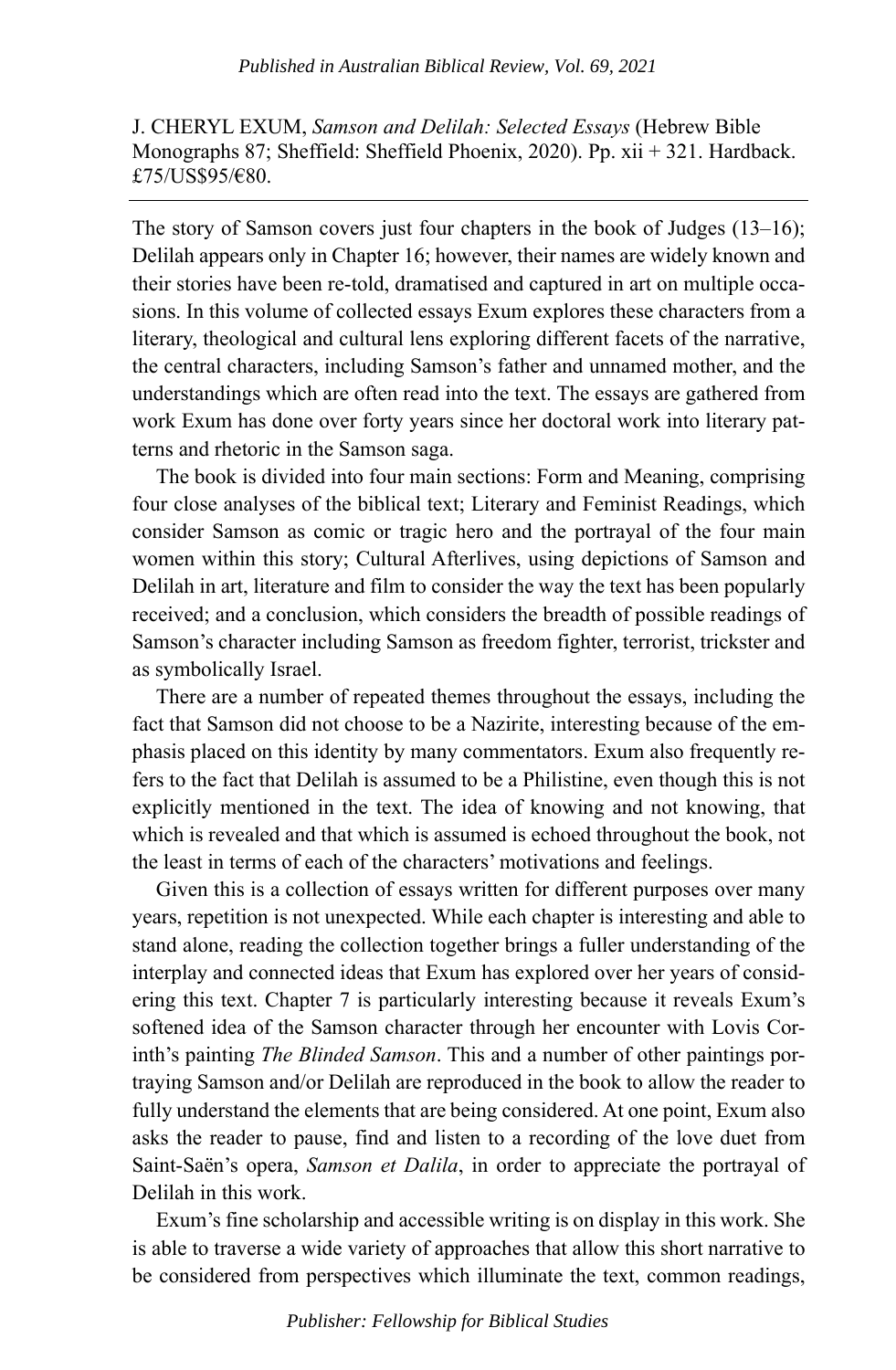J. CHERYL EXUM, *Samson and Delilah: Selected Essays* (Hebrew Bible Monographs 87; Sheffield: Sheffield Phoenix, 2020). Pp. xii + 321. Hardback. £75/US\$95/€80.

The story of Samson covers just four chapters in the book of Judges (13–16); Delilah appears only in Chapter 16; however, their names are widely known and their stories have been re-told, dramatised and captured in art on multiple occasions. In this volume of collected essays Exum explores these characters from a literary, theological and cultural lens exploring different facets of the narrative, the central characters, including Samson's father and unnamed mother, and the understandings which are often read into the text. The essays are gathered from work Exum has done over forty years since her doctoral work into literary patterns and rhetoric in the Samson saga.

The book is divided into four main sections: Form and Meaning, comprising four close analyses of the biblical text; Literary and Feminist Readings, which consider Samson as comic or tragic hero and the portrayal of the four main women within this story; Cultural Afterlives, using depictions of Samson and Delilah in art, literature and film to consider the way the text has been popularly received; and a conclusion, which considers the breadth of possible readings of Samson's character including Samson as freedom fighter, terrorist, trickster and as symbolically Israel.

There are a number of repeated themes throughout the essays, including the fact that Samson did not choose to be a Nazirite, interesting because of the emphasis placed on this identity by many commentators. Exum also frequently refers to the fact that Delilah is assumed to be a Philistine, even though this is not explicitly mentioned in the text. The idea of knowing and not knowing, that which is revealed and that which is assumed is echoed throughout the book, not the least in terms of each of the characters' motivations and feelings.

Given this is a collection of essays written for different purposes over many years, repetition is not unexpected. While each chapter is interesting and able to stand alone, reading the collection together brings a fuller understanding of the interplay and connected ideas that Exum has explored over her years of considering this text. Chapter 7 is particularly interesting because it reveals Exum's softened idea of the Samson character through her encounter with Lovis Corinth's painting *The Blinded Samson*. This and a number of other paintings portraying Samson and/or Delilah are reproduced in the book to allow the reader to fully understand the elements that are being considered. At one point, Exum also asks the reader to pause, find and listen to a recording of the love duet from Saint-Saën's opera, *Samson et Dalila*, in order to appreciate the portrayal of Delilah in this work.

Exum's fine scholarship and accessible writing is on display in this work. She is able to traverse a wide variety of approaches that allow this short narrative to be considered from perspectives which illuminate the text, common readings,